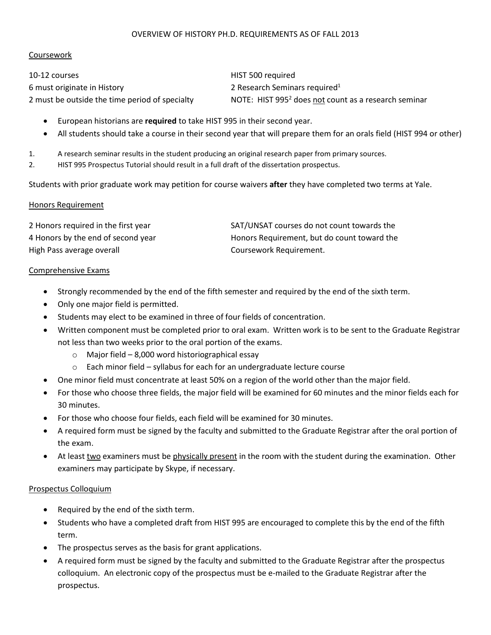#### OVERVIEW OF HISTORY PH.D. REQUIREMENTS AS OF FALL 2013

## Coursework

10-12 courses HIST 500 required 6 must originate in History **2** Research Seminars required<sup>1</sup>

2 must be outside the time period of specialty NOTE: HIST 995<sup>2</sup> does not count as a research seminar

- European historians are **required** to take HIST 995 in their second year.
- All students should take a course in their second year that will prepare them for an orals field (HIST 994 or other)
- 1. A research seminar results in the student producing an original research paper from primary sources.
- 2. HIST 995 Prospectus Tutorial should result in a full draft of the dissertation prospectus.

Students with prior graduate work may petition for course waivers **after** they have completed two terms at Yale.

#### Honors Requirement

| 2 Honors required in the first year | SAT/UNSAT courses do not count towards the  |
|-------------------------------------|---------------------------------------------|
| 4 Honors by the end of second year  | Honors Requirement, but do count toward the |
| High Pass average overall           | Coursework Requirement.                     |

#### Comprehensive Exams

- Strongly recommended by the end of the fifth semester and required by the end of the sixth term.
- Only one major field is permitted.
- Students may elect to be examined in three of four fields of concentration.
- Written component must be completed prior to oral exam. Written work is to be sent to the Graduate Registrar not less than two weeks prior to the oral portion of the exams.
	- $\circ$  Major field 8,000 word historiographical essay
	- o Each minor field syllabus for each for an undergraduate lecture course
- One minor field must concentrate at least 50% on a region of the world other than the major field.
- For those who choose three fields, the major field will be examined for 60 minutes and the minor fields each for 30 minutes.
- For those who choose four fields, each field will be examined for 30 minutes.
- A required form must be signed by the faculty and submitted to the Graduate Registrar after the oral portion of the exam.
- At least two examiners must be physically present in the room with the student during the examination. Other examiners may participate by Skype, if necessary.

#### Prospectus Colloquium

- Required by the end of the sixth term.
- Students who have a completed draft from HIST 995 are encouraged to complete this by the end of the fifth term.
- The prospectus serves as the basis for grant applications.
- A required form must be signed by the faculty and submitted to the Graduate Registrar after the prospectus colloquium. An electronic copy of the prospectus must be e-mailed to the Graduate Registrar after the prospectus.